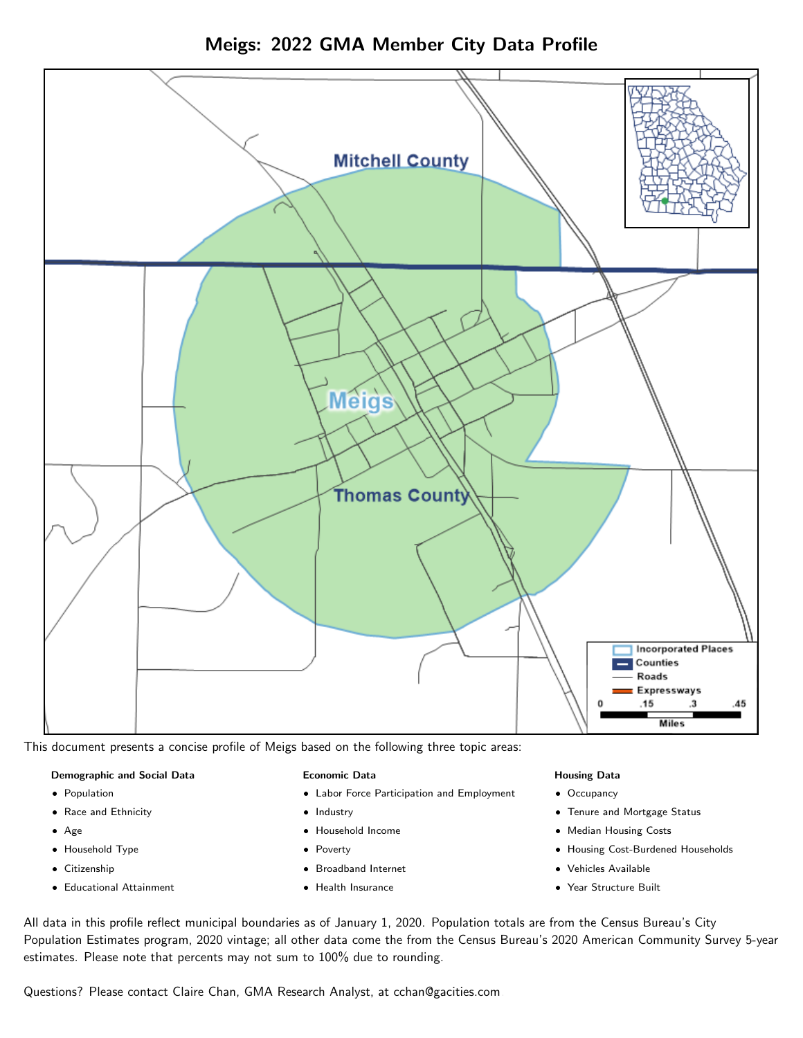

Meigs: 2022 GMA Member City Data Profile

This document presents a concise profile of Meigs based on the following three topic areas:

#### Demographic and Social Data

- **•** Population
- Race and Ethnicity
- Age
- Household Type
- **Citizenship**
- Educational Attainment

### Economic Data

- Labor Force Participation and Employment
- Industry
- Household Income
- Poverty
- Broadband Internet
- Health Insurance

#### Housing Data

- Occupancy
- Tenure and Mortgage Status
- Median Housing Costs
- Housing Cost-Burdened Households
- Vehicles Available
- Year Structure Built

All data in this profile reflect municipal boundaries as of January 1, 2020. Population totals are from the Census Bureau's City Population Estimates program, 2020 vintage; all other data come the from the Census Bureau's 2020 American Community Survey 5-year estimates. Please note that percents may not sum to 100% due to rounding.

Questions? Please contact Claire Chan, GMA Research Analyst, at [cchan@gacities.com.](mailto:cchan@gacities.com)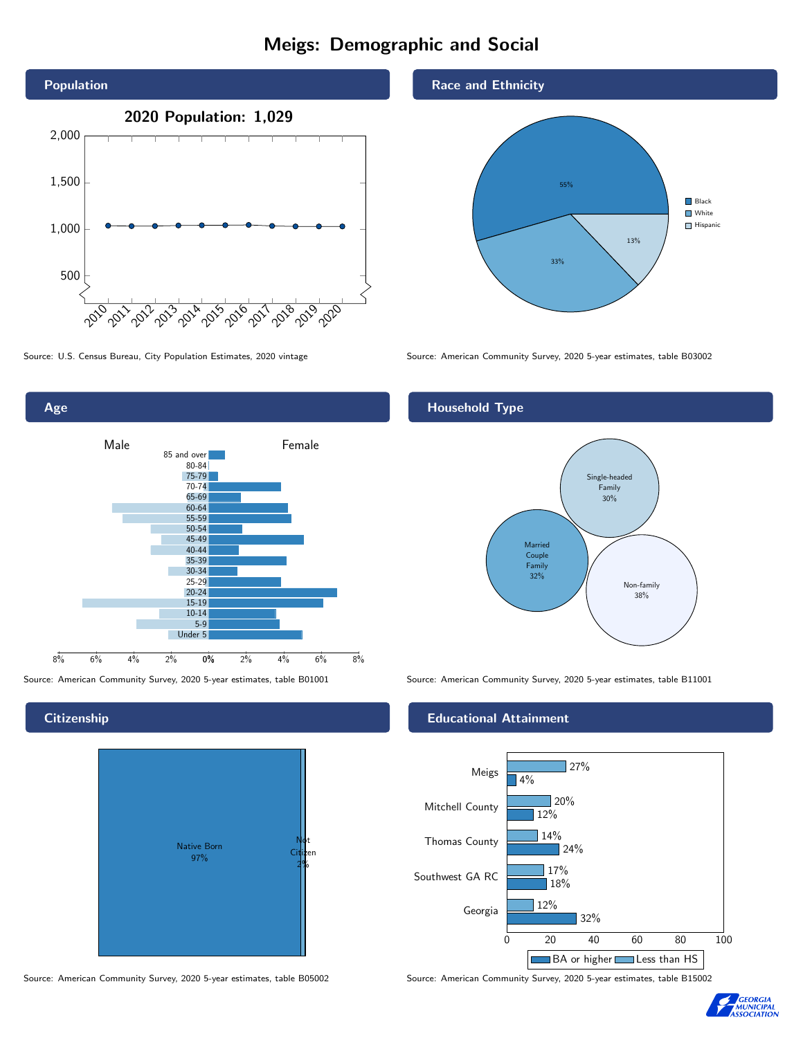# Meigs: Demographic and Social





**Citizenship** 



Source: American Community Survey, 2020 5-year estimates, table B05002 Source: American Community Survey, 2020 5-year estimates, table B15002

Race and Ethnicity



Source: U.S. Census Bureau, City Population Estimates, 2020 vintage Source: American Community Survey, 2020 5-year estimates, table B03002

## Household Type



Source: American Community Survey, 2020 5-year estimates, table B01001 Source: American Community Survey, 2020 5-year estimates, table B11001

### Educational Attainment



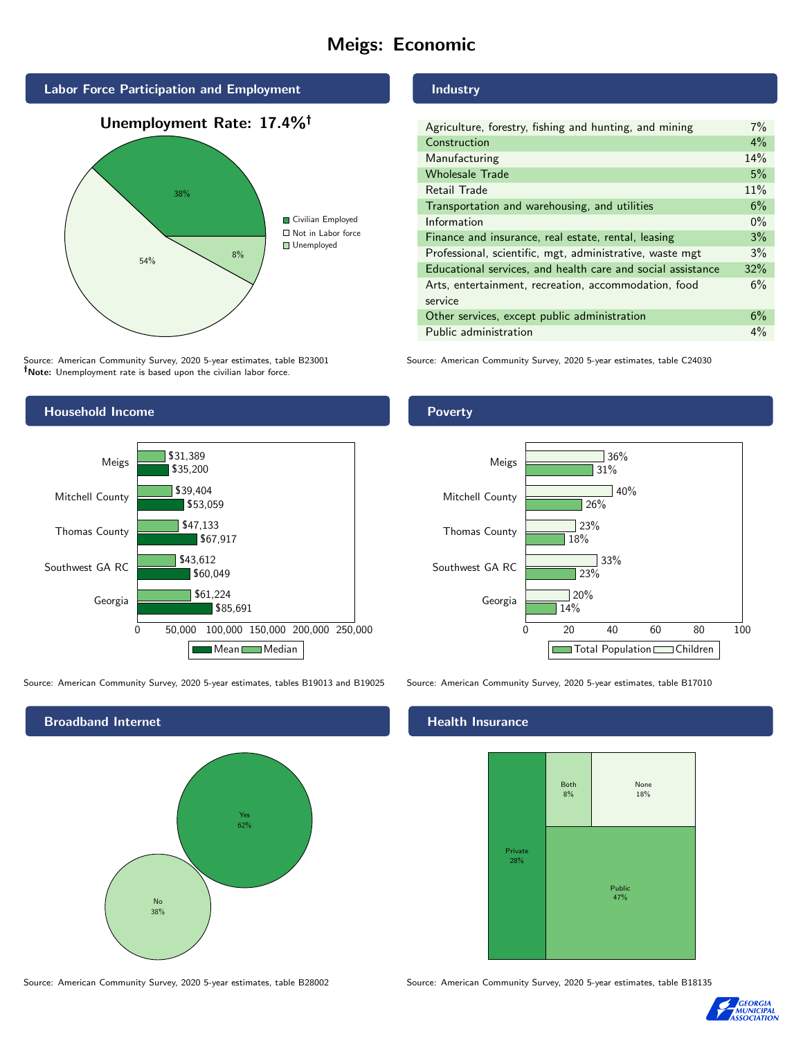# Meigs: Economic



Source: American Community Survey, 2020 5-year estimates, table B23001 Note: Unemployment rate is based upon the civilian labor force.

### Industry

| $7\%$ |
|-------|
| 4%    |
| 14%   |
| 5%    |
| 11%   |
| 6%    |
| $0\%$ |
| 3%    |
| 3%    |
| 32%   |
| 6%    |
|       |
| 6%    |
| 4%    |
|       |

Source: American Community Survey, 2020 5-year estimates, table C24030



Source: American Community Survey, 2020 5-year estimates, tables B19013 and B19025 Source: American Community Survey, 2020 5-year estimates, table B17010

Broadband Internet No 38% Yes 62% 0 20 40 60 80 100

Georgia

Southwest GA RC

Thomas County

Mitchell County

Meigs

14%

23%

 $120%$ 

26%

31%

36%

 $140%$ 

Total Population Children

33%

18%

 $\sqrt{23\%}$ 

### Health Insurance



Source: American Community Survey, 2020 5-year estimates, table B28002 Source: American Community Survey, 2020 5-year estimates, table B18135



## **Poverty**